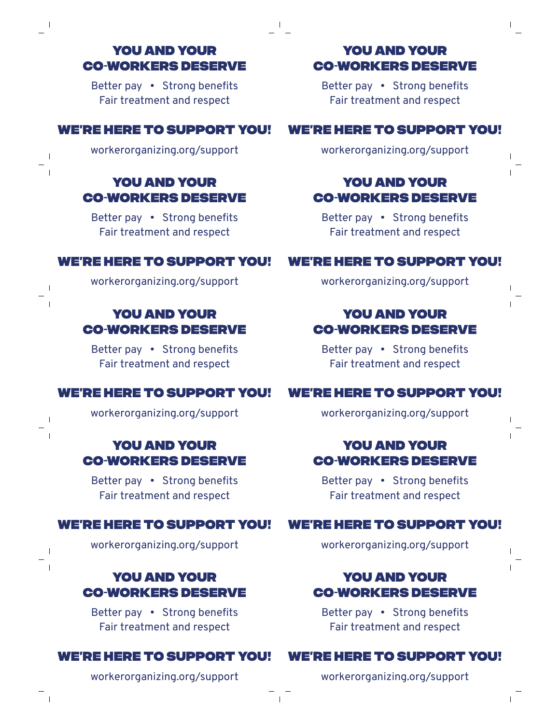## You and your co-workers deserve

 $\perp$ 

 $\blacksquare$ 

 $\mathbf{I}$ 

 $\Box$  $\overline{\phantom{a}}$ 

 $\mathbf{I}$ 

 $\mathbf{I}$ 

Better pay • Strong benefits Fair treatment and respect

## We're here to support you!

workerorganizing.org/support

# You and your co-workers deserve

Better pay • Strong benefits Fair treatment and respect

## We're here to support you!

workerorganizing.org/support

# You and your co-workers deserve

Better pay • Strong benefits Fair treatment and respect

# WE'RE HERE TO SUPPORT YOU!

workerorganizing.org/support

## You and your co-workers deserve

Better pay • Strong benefits Fair treatment and respect

#### WE'RE HERE TO SUPPORT YOU!

workerorganizing.org/support

# You and your co-workers deserve

Better pay • Strong benefits Fair treatment and respect

#### We're here to support you!

workerorganizing.org/support

## You and your co-workers deserve

Better pay • Strong benefits Fair treatment and respect

#### We're here to support you!

workerorganizing.org/support

## You and your co-workers deserve

Better pay • Strong benefits Fair treatment and respect

## We're here to support you!

workerorganizing.org/support

#### You and your co-workers deserve

Better pay • Strong benefits Fair treatment and respect

## WE'RE HERE TO SUPPORT YOU!

workerorganizing.org/support

# You and your co-workers deserve

Better pay • Strong benefits Fair treatment and respect

## WE'RE HERE TO SUPPORT YOU!

workerorganizing.org/support

# You and your co-workers deserve

Better pay • Strong benefits Fair treatment and respect

# WE'RE HERE TO SUPPORT YOU!

workerorganizing.org/support

 $\mathbf{I}$